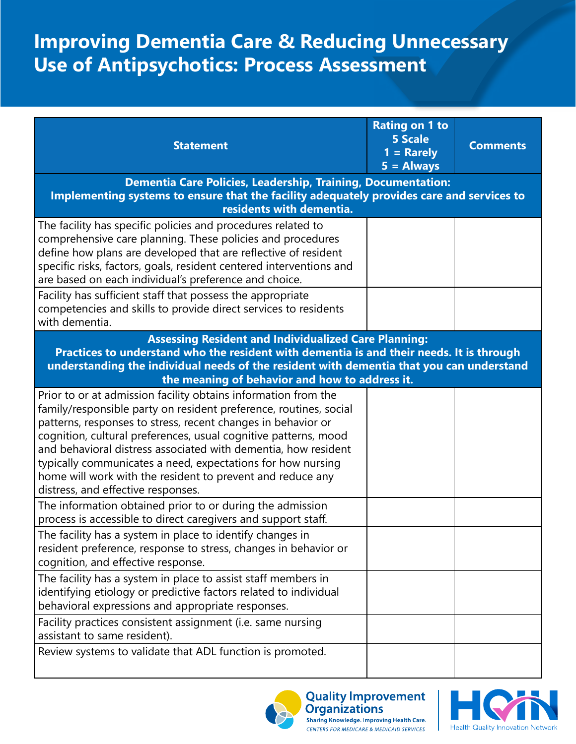## **Improving Dementia Care & Reducing Unnecessary Use of Antipsychotics: Process Assessment**

| <b>Statement</b>                                                                                                                                                                                                                                                                                                                                                                                                                                                                                            | <b>Rating on 1 to</b><br><b>5 Scale</b><br>$1 =$ Rarely<br>$5 =$ Always | <b>Comments</b> |  |  |
|-------------------------------------------------------------------------------------------------------------------------------------------------------------------------------------------------------------------------------------------------------------------------------------------------------------------------------------------------------------------------------------------------------------------------------------------------------------------------------------------------------------|-------------------------------------------------------------------------|-----------------|--|--|
| <b>Dementia Care Policies, Leadership, Training, Documentation:</b>                                                                                                                                                                                                                                                                                                                                                                                                                                         |                                                                         |                 |  |  |
| Implementing systems to ensure that the facility adequately provides care and services to                                                                                                                                                                                                                                                                                                                                                                                                                   |                                                                         |                 |  |  |
| residents with dementia.                                                                                                                                                                                                                                                                                                                                                                                                                                                                                    |                                                                         |                 |  |  |
| The facility has specific policies and procedures related to<br>comprehensive care planning. These policies and procedures<br>define how plans are developed that are reflective of resident<br>specific risks, factors, goals, resident centered interventions and<br>are based on each individual's preference and choice.                                                                                                                                                                                |                                                                         |                 |  |  |
| Facility has sufficient staff that possess the appropriate<br>competencies and skills to provide direct services to residents<br>with dementia.                                                                                                                                                                                                                                                                                                                                                             |                                                                         |                 |  |  |
| <b>Assessing Resident and Individualized Care Planning:</b><br>Practices to understand who the resident with dementia is and their needs. It is through<br>understanding the individual needs of the resident with dementia that you can understand<br>the meaning of behavior and how to address it.                                                                                                                                                                                                       |                                                                         |                 |  |  |
| Prior to or at admission facility obtains information from the<br>family/responsible party on resident preference, routines, social<br>patterns, responses to stress, recent changes in behavior or<br>cognition, cultural preferences, usual cognitive patterns, mood<br>and behavioral distress associated with dementia, how resident<br>typically communicates a need, expectations for how nursing<br>home will work with the resident to prevent and reduce any<br>distress, and effective responses. |                                                                         |                 |  |  |
| The information obtained prior to or during the admission<br>process is accessible to direct caregivers and support staff.                                                                                                                                                                                                                                                                                                                                                                                  |                                                                         |                 |  |  |
| The facility has a system in place to identify changes in<br>resident preference, response to stress, changes in behavior or<br>cognition, and effective response.                                                                                                                                                                                                                                                                                                                                          |                                                                         |                 |  |  |
| The facility has a system in place to assist staff members in<br>identifying etiology or predictive factors related to individual<br>behavioral expressions and appropriate responses.                                                                                                                                                                                                                                                                                                                      |                                                                         |                 |  |  |
| Facility practices consistent assignment (i.e. same nursing<br>assistant to same resident).                                                                                                                                                                                                                                                                                                                                                                                                                 |                                                                         |                 |  |  |
| Review systems to validate that ADL function is promoted.                                                                                                                                                                                                                                                                                                                                                                                                                                                   |                                                                         |                 |  |  |



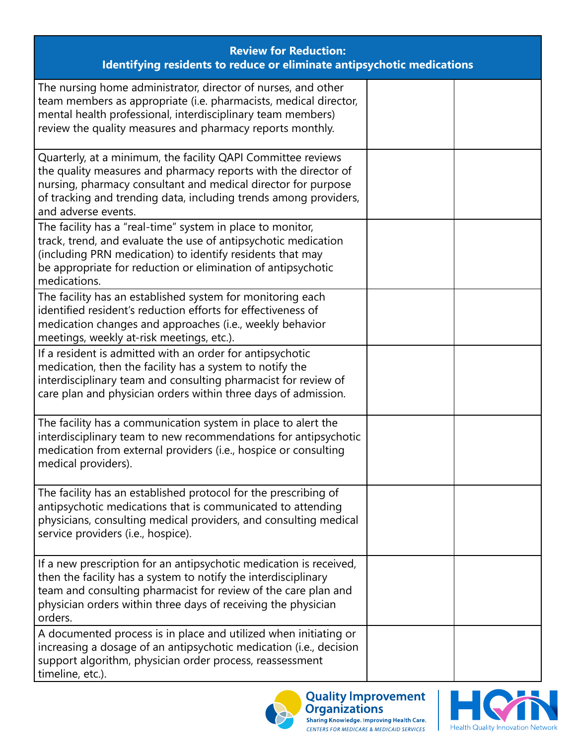| <b>Review for Reduction:</b><br>Identifying residents to reduce or eliminate antipsychotic medications                                                                                                                                                                                     |  |  |  |  |
|--------------------------------------------------------------------------------------------------------------------------------------------------------------------------------------------------------------------------------------------------------------------------------------------|--|--|--|--|
| The nursing home administrator, director of nurses, and other<br>team members as appropriate (i.e. pharmacists, medical director,<br>mental health professional, interdisciplinary team members)<br>review the quality measures and pharmacy reports monthly.                              |  |  |  |  |
| Quarterly, at a minimum, the facility QAPI Committee reviews<br>the quality measures and pharmacy reports with the director of<br>nursing, pharmacy consultant and medical director for purpose<br>of tracking and trending data, including trends among providers,<br>and adverse events. |  |  |  |  |
| The facility has a "real-time" system in place to monitor,<br>track, trend, and evaluate the use of antipsychotic medication<br>(including PRN medication) to identify residents that may<br>be appropriate for reduction or elimination of antipsychotic<br>medications.                  |  |  |  |  |
| The facility has an established system for monitoring each<br>identified resident's reduction efforts for effectiveness of<br>medication changes and approaches (i.e., weekly behavior<br>meetings, weekly at-risk meetings, etc.).                                                        |  |  |  |  |
| If a resident is admitted with an order for antipsychotic<br>medication, then the facility has a system to notify the<br>interdisciplinary team and consulting pharmacist for review of<br>care plan and physician orders within three days of admission.                                  |  |  |  |  |
| The facility has a communication system in place to alert the<br>interdisciplinary team to new recommendations for antipsychotic<br>medication from external providers (i.e., hospice or consulting<br>medical providers).                                                                 |  |  |  |  |
| The facility has an established protocol for the prescribing of<br>antipsychotic medications that is communicated to attending<br>physicians, consulting medical providers, and consulting medical<br>service providers (i.e., hospice).                                                   |  |  |  |  |
| If a new prescription for an antipsychotic medication is received,<br>then the facility has a system to notify the interdisciplinary<br>team and consulting pharmacist for review of the care plan and<br>physician orders within three days of receiving the physician<br>orders.         |  |  |  |  |
| A documented process is in place and utilized when initiating or<br>increasing a dosage of an antipsychotic medication (i.e., decision<br>support algorithm, physician order process, reassessment<br>timeline, etc.).                                                                     |  |  |  |  |



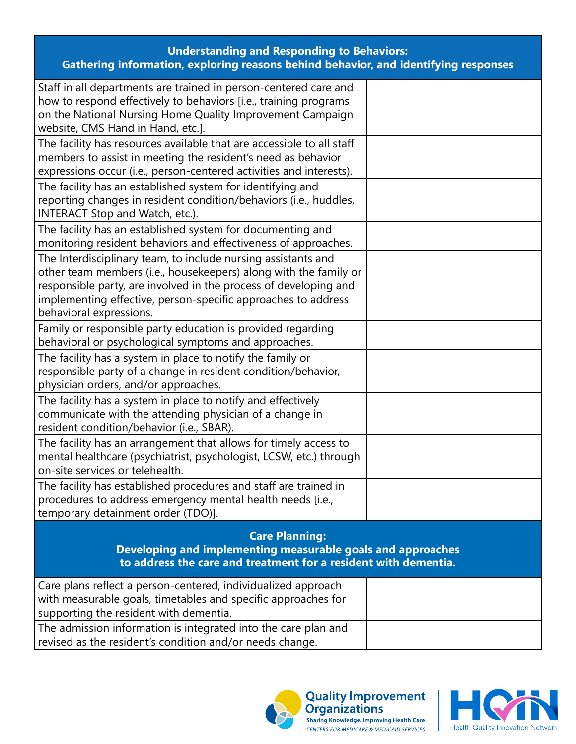| <b>Understanding and Responding to Behaviors:</b><br>Gathering information, exploring reasons behind behavior, and identifying responses                                                                                                                                                          |  |  |  |  |
|---------------------------------------------------------------------------------------------------------------------------------------------------------------------------------------------------------------------------------------------------------------------------------------------------|--|--|--|--|
| Staff in all departments are trained in person-centered care and<br>how to respond effectively to behaviors [i.e., training programs<br>on the National Nursing Home Quality Improvement Campaign<br>website, CMS Hand in Hand, etc.].                                                            |  |  |  |  |
| The facility has resources available that are accessible to all staff<br>members to assist in meeting the resident's need as behavior<br>expressions occur (i.e., person-centered activities and interests).                                                                                      |  |  |  |  |
| The facility has an established system for identifying and<br>reporting changes in resident condition/behaviors (i.e., huddles,<br>INTERACT Stop and Watch, etc.).                                                                                                                                |  |  |  |  |
| The facility has an established system for documenting and<br>monitoring resident behaviors and effectiveness of approaches.                                                                                                                                                                      |  |  |  |  |
| The Interdisciplinary team, to include nursing assistants and<br>other team members (i.e., housekeepers) along with the family or<br>responsible party, are involved in the process of developing and<br>implementing effective, person-specific approaches to address<br>behavioral expressions. |  |  |  |  |
| Family or responsible party education is provided regarding<br>behavioral or psychological symptoms and approaches.                                                                                                                                                                               |  |  |  |  |
| The facility has a system in place to notify the family or<br>responsible party of a change in resident condition/behavior,<br>physician orders, and/or approaches.                                                                                                                               |  |  |  |  |
| The facility has a system in place to notify and effectively<br>communicate with the attending physician of a change in<br>resident condition/behavior (i.e., SBAR).                                                                                                                              |  |  |  |  |
| The facility has an arrangement that allows for timely access to<br>mental healthcare (psychiatrist, psychologist, LCSW, etc.) through<br>on-site services or telehealth.                                                                                                                         |  |  |  |  |
| The facility has established procedures and staff are trained in<br>procedures to address emergency mental health needs [i.e.,<br>temporary detainment order (TDO)].                                                                                                                              |  |  |  |  |
| <b>Care Planning:</b><br>Developing and implementing measurable goals and approaches<br>to address the care and treatment for a resident with dementia.                                                                                                                                           |  |  |  |  |
| Care plans reflect a person-centered, individualized approach<br>with measurable goals, timetables and specific approaches for<br>supporting the resident with dementia.                                                                                                                          |  |  |  |  |
| The admission information is integrated into the care plan and<br>revised as the resident's condition and/or needs change.                                                                                                                                                                        |  |  |  |  |